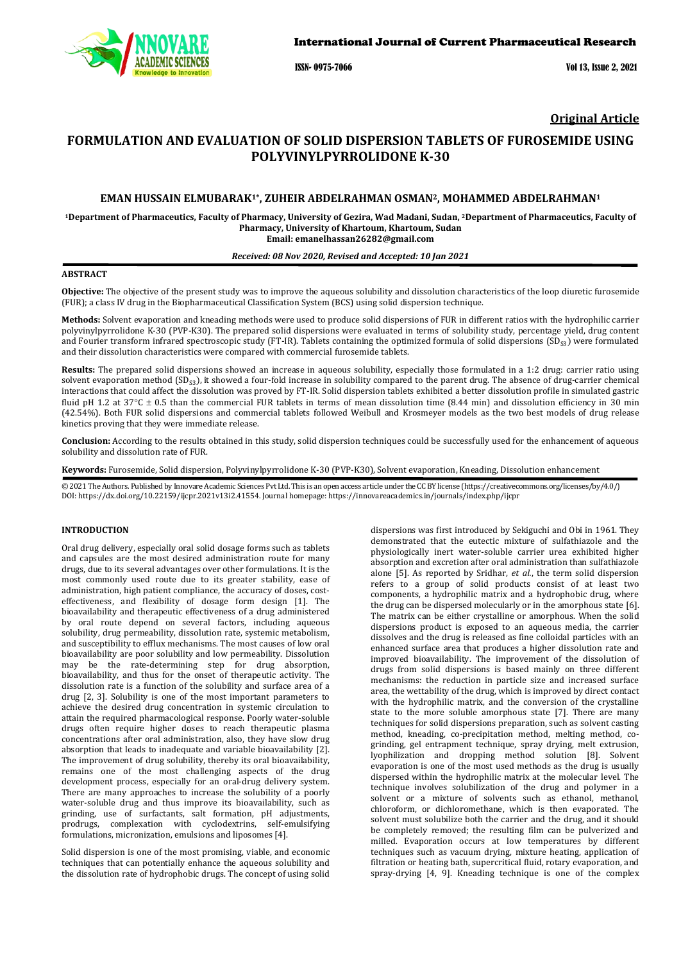

ISSN- 0975-7066 Vol 13, Issue 2, 2021

**Original Article**

# **FORMULATION AND EVALUATION OF SOLID DISPERSION TABLETS OF FUROSEMIDE USING POLYVINYLPYRROLIDONE K-30**

# **EMAN HUSSAIN ELMUBARAK1\*, ZUHEIR ABDELRAHMAN OSMAN2, MOHAMMED ABDELRAHMAN1**

**1Department of Pharmaceutics, Faculty of Pharmacy, University of Gezira, Wad Madani, Sudan, 2Department of Pharmaceutics, Faculty of Pharmacy, University of Khartoum, Khartoum, Sudan Email: emanelhassan26282@gmail.com**

# *Received: 08 Nov 2020, Revised and Accepted: 10 Jan 2021*

# **ABSTRACT**

**Objective:** The objective of the present study was to improve the aqueous solubility and dissolution characteristics of the loop diuretic furosemide (FUR); a class IV drug in the Biopharmaceutical Classification System (BCS) using solid dispersion technique.

**Methods:** Solvent evaporation and kneading methods were used to produce solid dispersions of FUR in different ratios with the hydrophilic carrier polyvinylpyrrolidone K-30 (PVP-K30). The prepared solid dispersions were evaluated in terms of solubility study, percentage yield, drug content and Fourier transform infrared spectroscopic study (FT-IR). Tablets containing the optimized formula of solid dispersions  $(SD<sub>S3</sub>)$  were formulated and their dissolution characteristics were compared with commercial furosemide tablets.

**Results:** The prepared solid dispersions showed an increase in aqueous solubility, especially those formulated in a 1:2 drug: carrier ratio using solvent evaporation method (SD<sub>S3</sub>), it showed a four-fold increase in solubility compared to the parent drug. The absence of drug-carrier chemical interactions that could affect the dissolution was proved by FT-IR. Solid dispersion tablets exhibited a better dissolution profile in simulated gastric fluid pH 1.2 at  $37^{\circ}$ C  $\pm$  0.5 than the commercial FUR tablets in terms of mean dissolution time (8.44 min) and dissolution efficiency in 30 min (42.54%). Both FUR solid dispersions and commercial tablets followed Weibull and Krosmeyer models as the two best models of drug release kinetics proving that they were immediate release.

**Conclusion:** According to the results obtained in this study, solid dispersion techniques could be successfully used for the enhancement of aqueous solubility and dissolution rate of FUR.

**Keywords:** Furosemide, Solid dispersion, Polyvinylpyrrolidone K-30 (PVP-K30), Solvent evaporation, Kneading, Dissolution enhancement

© 2021 The Authors. Published by Innovare Academic Sciences Pvt Ltd. This is an open access article under the CC BY license [\(https://creativecommons.org/licenses/by/4.0/\)](https://creativecommons.org/licenses/by/4.0/) DOI[: https://dx.doi.org/10.22159/ijcpr.2021v13i2.4](https://dx.doi.org/10.22159/ijcpr.2021v13i2)1554. Journal homepage[: https://innovareacademics.in/journals/index.php/ijcpr](https://innovareacademics.in/journals/index.php/ijcpr)

# **INTRODUCTION**

Oral drug delivery, especially oral solid dosage forms such as tablets and capsules are the most desired administration route for many drugs, due to its several advantages over other formulations. It is the most commonly used route due to its greater stability, ease of administration, high patient compliance, the accuracy of doses, costeffectiveness, and flexibility of dosage form design [1]. The bioavailability and therapeutic effectiveness of a drug administered by oral route depend on several factors, including aqueous solubility, drug permeability, dissolution rate, systemic metabolism, and susceptibility to efflux mechanisms. The most causes of low oral bioavailability are poor solubility and low permeability. Dissolution may be the rate-determining step for drug absorption, bioavailability, and thus for the onset of therapeutic activity. The dissolution rate is a function of the solubility and surface area of a drug [2, 3]. Solubility is one of the most important parameters to achieve the desired drug concentration in systemic circulation to attain the required pharmacological response. Poorly water-soluble drugs often require higher doses to reach therapeutic plasma concentrations after oral administration, also, they have slow drug absorption that leads to inadequate and variable bioavailability [2]. The improvement of drug solubility, thereby its oral bioavailability, remains one of the most challenging aspects of the drug development process, especially for an oral-drug delivery system. There are many approaches to increase the solubility of a poorly water-soluble drug and thus improve its bioavailability, such as grinding, use of surfactants, salt formation, pH adjustments, prodrugs, complexation with cyclodextrins, self-emulsifying formulations, micronization, emulsions and liposomes [4].

Solid dispersion is one of the most promising, viable, and economic techniques that can potentially enhance the aqueous solubility and the dissolution rate of hydrophobic drugs. The concept of using solid

dispersions was first introduced by Sekiguchi and Obi in 1961. They demonstrated that the eutectic mixture of sulfathiazole and the physiologically inert water-soluble carrier urea exhibited higher absorption and excretion after oral administration than sulfathiazole alone [5]. As reported by Sridhar, *et al.*, the term solid dispersion refers to a group of solid products consist of at least two components, a hydrophilic matrix and a hydrophobic drug, where the drug can be dispersed molecularly or in the amorphous state [6]. The matrix can be either crystalline or amorphous. When the solid dispersions product is exposed to an aqueous media, the carrier dissolves and the drug is released as fine colloidal particles with an enhanced surface area that produces a higher dissolution rate and improved bioavailability. The improvement of the dissolution of drugs from solid dispersions is based mainly on three different mechanisms: the reduction in particle size and increased surface area, the wettability of the drug, which is improved by direct contact with the hydrophilic matrix, and the conversion of the crystalline state to the more soluble amorphous state [7]. There are many techniques for solid dispersions preparation, such as solvent casting method, kneading, co-precipitation method, melting method, cogrinding, gel entrapment technique, spray drying, melt extrusion, lyophilization and dropping method solution [8]. Solvent evaporation is one of the most used methods as the drug is usually dispersed within the hydrophilic matrix at the molecular level. The technique involves solubilization of the drug and polymer in a solvent or a mixture of solvents such as ethanol, methanol, chloroform, or dichloromethane, which is then evaporated. The solvent must solubilize both the carrier and the drug, and it should be completely removed; the resulting film can be pulverized and milled. Evaporation occurs at low temperatures by different techniques such as vacuum drying, mixture heating, application of filtration or heating bath, supercritical fluid, rotary evaporation, and spray-drying [4, 9]. Kneading technique is one of the complex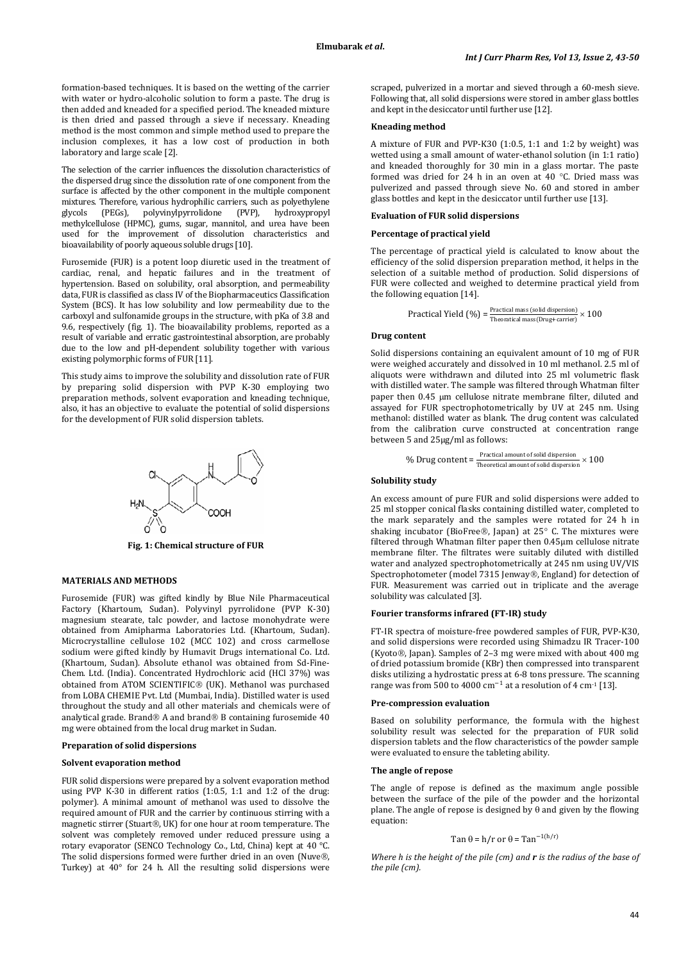formation-based techniques. It is based on the wetting of the carrier with water or hydro-alcoholic solution to form a paste. The drug is then added and kneaded for a specified period. The kneaded mixture is then dried and passed through a sieve if necessary. Kneading method is the most common and simple method used to prepare the inclusion complexes, it has a low cost of production in both laboratory and large scale [2].

The selection of the carrier influences the dissolution characteristics of the dispersed drug since the dissolution rate of one component from the surface is affected by the other component in the multiple component mixtures. Therefore, various hydrophilic carriers, such as polyethylene<br>glycols (PEGs), polyvinylpyrrolidone (PVP), hydroxypropyl glycols (PEGs), polyvinylpyrrolidone (PVP), hydroxypropyl methylcellulose (HPMC), gums, sugar, mannitol, and urea have been used for the improvement of dissolution characteristics and bioavailability of poorly aqueous soluble drugs [10].

Furosemide (FUR) is a potent loop diuretic used in the treatment of cardiac, renal, and hepatic failures and in the treatment of hypertension. Based on solubility, oral absorption, and permeability data, FUR is classified as class IV of the Biopharmaceutics Classification System (BCS). It has low solubility and low permeability due to the carboxyl and sulfonamide groups in the structure, with pKa of 3.8 and 9.6, respectively (fig. 1). The bioavailability problems, reported as a result of variable and erratic gastrointestinal absorption, are probably due to the low and pH-dependent solubility together with various existing polymorphic forms of FUR [11].

This study aims to improve the solubility and dissolution rate of FUR by preparing solid dispersion with PVP K-30 employing two preparation methods, solvent evaporation and kneading technique, also, it has an objective to evaluate the potential of solid dispersions for the development of FUR solid dispersion tablets.



**Fig. 1: Chemical structure of FUR**

# **MATERIALS AND METHODS**

Furosemide (FUR) was gifted kindly by Blue Nile Pharmaceutical Factory (Khartoum, Sudan). Polyvinyl pyrrolidone (PVP K-30) magnesium stearate, talc powder, and lactose monohydrate were obtained from Amipharma Laboratories Ltd. (Khartoum, Sudan). Microcrystalline cellulose 102 (MCC 102) and cross carmellose sodium were gifted kindly by Humavit Drugs international Co. Ltd. (Khartoum, Sudan). Absolute ethanol was obtained from Sd-Fine-Chem. Ltd. (India). Concentrated Hydrochloric acid (HCl 37%) was obtained from ATOM SCIENTIFIC® (UK). Methanol was purchased from LOBA CHEMIE Pvt. Ltd (Mumbai, India). Distilled water is used throughout the study and all other materials and chemicals were of analytical grade. Brand $@A$  and brand $@B$  containing furosemide  $40$ mg were obtained from the local drug market in Sudan.

# **Preparation of solid dispersions**

### **Solvent evaporation method**

FUR solid dispersions were prepared by a solvent evaporation method using PVP K-30 in different ratios (1:0.5, 1:1 and 1:2 of the drug: polymer). A minimal amount of methanol was used to dissolve the required amount of FUR and the carrier by continuous stirring with a magnetic stirrer (Stuart®, UK) for one hour at room temperature. The solvent was completely removed under reduced pressure using a rotary evaporator (SENCO Technology Co., Ltd, China) kept at 40 °C. The solid dispersions formed were further dried in an oven (Nuve®, Turkey) at 40° for 24 h. All the resulting solid dispersions were scraped, pulverized in a mortar and sieved through a 60-mesh sieve. Following that, all solid dispersions were stored in amber glass bottles and kept in the desiccator until further use [12].

#### **Kneading method**

A mixture of FUR and PVP-K30 (1:0.5, 1:1 and 1:2 by weight) was wetted using a small amount of water-ethanol solution (in 1:1 ratio) and kneaded thoroughly for 30 min in a glass mortar. The paste formed was dried for 24 h in an oven at 40 °C. Dried mass was pulverized and passed through sieve No. 60 and stored in amber glass bottles and kept in the desiccator until further use [13].

# **Evaluation of FUR solid dispersions**

## **Percentage of practical yield**

The percentage of practical yield is calculated to know about the efficiency of the solid dispersion preparation method, it helps in the selection of a suitable method of production. Solid dispersions of FUR were collected and weighed to determine practical yield from the following equation [14].

```
Practical Yield (\%) = \frac{\text{Practical mass (solid dispersion)}}{\text{Theoretical mass (Drug + carrier)}} \times 100
```
### **Drug content**

Solid dispersions containing an equivalent amount of 10 mg of FUR were weighed accurately and dissolved in 10 ml methanol. 2.5 ml of aliquots were withdrawn and diluted into 25 ml volumetric flask with distilled water. The sample was filtered through Whatman filter paper then 0.45 µm cellulose nitrate membrane filter, diluted and assayed for FUR spectrophotometrically by UV at 245 nm. Using methanol: distilled water as blank. The drug content was calculated from the calibration curve constructed at concentration range between 5 and 25µg/ml as follows:

```
% Drug content =\frac{Practional amount of solid dispersion}{Theoretical amount of solid dispersion} \times 100
```
# **Solubility study**

An excess amount of pure FUR and solid dispersions were added to 25 ml stopper conical flasks containing distilled water, completed to the mark separately and the samples were rotated for 24 h in shaking incubator (BioFree®, Japan) at 25° C. The mixtures were filtered through Whatman filter paper then 0.45μm cellulose nitrate membrane filter. The filtrates were suitably diluted with distilled water and analyzed spectrophotometrically at 245 nm using UV/VIS Spectrophotometer (model 7315 Jenway®, England) for detection of FUR. Measurement was carried out in triplicate and the average solubility was calculated [3].

### **Fourier transforms infrared (FT-IR) study**

FT-IR spectra of moisture-free powdered samples of FUR, PVP-K30, and solid dispersions were recorded using Shimadzu IR Tracer-100 (Kyoto®, Japan). Samples of 2-3 mg were mixed with about 400 mg of dried potassium bromide (KBr) then compressed into transparent disks utilizing a hydrostatic press at 6-8 tons pressure. The scanning range was from 500 to 4000 cm<sup>-1</sup> at a resolution of 4 cm<sup>-1</sup> [13].

### **Pre-compression evaluation**

Based on solubility performance, the formula with the highest solubility result was selected for the preparation of FUR solid dispersion tablets and the flow characteristics of the powder sample were evaluated to ensure the tableting ability.

# **The angle of repose**

The angle of repose is defined as the maximum angle possible between the surface of the pile of the powder and the horizontal plane. The angle of repose is designed by θ and given by the flowing equation:

Tan 
$$
\theta = h/r
$$
 or  $\theta = Tan^{-1(h/r)}$ 

*Where h is the height of the pile (cm) and r is the radius of the base of the pile (cm).*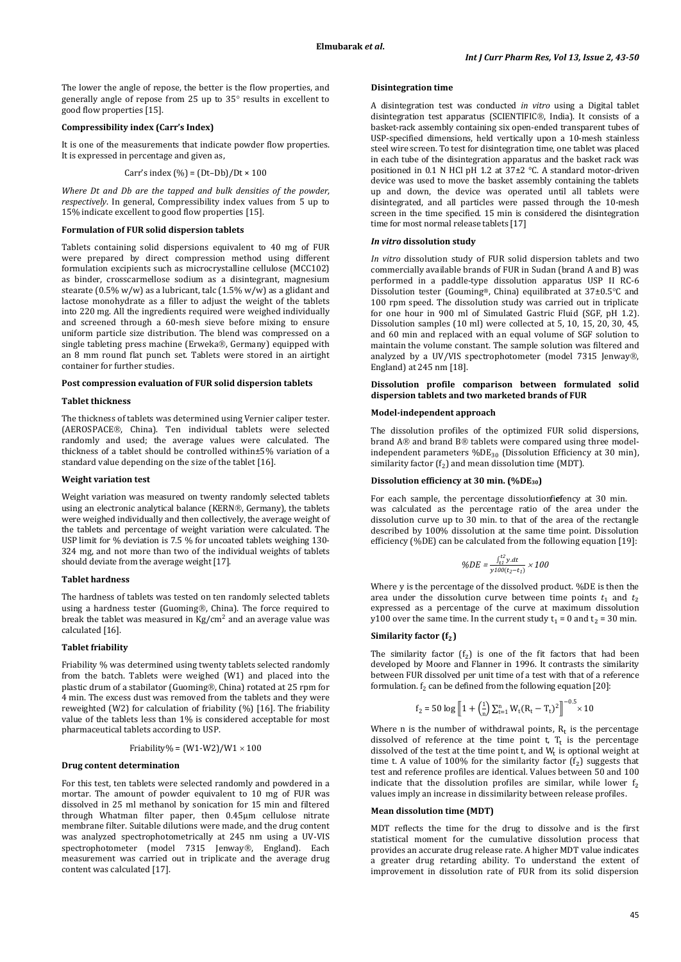The lower the angle of repose, the better is the flow properties, and generally angle of repose from 25 up to 35° results in excellent to good flow properties [15].

## **Compressibility index (Carr's Index)**

It is one of the measurements that indicate powder flow properties. It is expressed in percentage and given as,

Carr's index 
$$
(\%) = (Dt-Db)/Dt \times 100
$$

*Where Dt and Db are the tapped and bulk densities of the powder, respectively*. In general, Compressibility index values from 5 up to 15% indicate excellent to good flow properties [15].

## **Formulation of FUR solid dispersion tablets**

Tablets containing solid dispersions equivalent to 40 mg of FUR were prepared by direct compression method using different formulation excipients such as microcrystalline cellulose (MCC102) as binder, crosscarmellose sodium as a disintegrant, magnesium stearate  $(0.5\% \text{ w/w})$  as a lubricant, talc  $(1.5\% \text{ w/w})$  as a glidant and lactose monohydrate as a filler to adjust the weight of the tablets into 220 mg. All the ingredients required were weighed individually and screened through a 60-mesh sieve before mixing to ensure uniform particle size distribution. The blend was compressed on a single tableting press machine (Erweka®, Germany) equipped with an 8 mm round flat punch set. Tablets were stored in an airtight container for further studies.

### **Post compression evaluation of FUR solid dispersion tablets**

# **Tablet thickness**

The thickness of tablets was determined using Vernier caliper tester. (AEROSPACE®, China). Ten individual tablets were selected randomly and used; the average values were calculated. The thickness of a tablet should be controlled within±5% variation of a standard value depending on the size of the tablet [16].

# **Weight variation test**

Weight variation was measured on twenty randomly selected tablets using an electronic analytical balance (KERN®, Germany), the tablets were weighed individually and then collectively, the average weight of the tablets and percentage of weight variation were calculated. The USP limit for % deviation is 7.5 % for uncoated tablets weighing 130- 324 mg, and not more than two of the individual weights of tablets should deviate from the average weight [17].

## **Tablet hardness**

The hardness of tablets was tested on ten randomly selected tablets using a hardness tester (Guoming®, China). The force required to break the tablet was measured in  $Kg/cm^2$  and an average value was calculated [16].

## **Tablet friability**

Friability % was determined using twenty tablets selected randomly from the batch. Tablets were weighed (W1) and placed into the plastic drum of a stabilator (Guoming®, China) rotated at 25 rpm for 4 min. The excess dust was removed from the tablets and they were reweighted (W2) for calculation of friability (%) [16]. The friability value of the tablets less than 1% is considered acceptable for most pharmaceutical tablets according to USP.

$$
Friability\% = (W1-W2)/W1 \times 100
$$

#### **Drug content determination**

For this test, ten tablets were selected randomly and powdered in a mortar. The amount of powder equivalent to 10 mg of FUR was dissolved in 25 ml methanol by sonication for 15 min and filtered through Whatman filter paper, then 0.45μm cellulose nitrate membrane filter. Suitable dilutions were made, and the drug content was analyzed spectrophotometrically at 245 nm using a UV-VIS spectrophotometer (model 7315 Jenway®, England). Each measurement was carried out in triplicate and the average drug content was calculated [17].

# **Disintegration time**

A disintegration test was conducted *in vitro* using a Digital tablet disintegration test apparatus (SCIENTIFIC®, India). It consists of a basket-rack assembly containing six open-ended transparent tubes of USP-specified dimensions, held vertically upon a 10-mesh stainless steel wire screen. To test for disintegration time, one tablet was placed in each tube of the disintegration apparatus and the basket rack was positioned in 0.1 N HCl pH 1.2 at  $37\pm2$  °C. A standard motor-driven device was used to move the basket assembly containing the tablets up and down, the device was operated until all tablets were disintegrated, and all particles were passed through the 10-mesh screen in the time specified. 15 min is considered the disintegration time for most normal release tablets [17]

### *In vitro* **dissolution study**

*In vitro* dissolution study of FUR solid dispersion tablets and two commercially available brands of FUR in Sudan (brand A and B) was performed in a paddle-type dissolution apparatus USP II RC-6 Dissolution tester (Gouming®, China) equilibrated at 37±0.5°C and 100 rpm speed. The dissolution study was carried out in triplicate for one hour in 900 ml of Simulated Gastric Fluid (SGF, pH 1.2). Dissolution samples (10 ml) were collected at 5, 10, 15, 20, 30, 45, and 60 min and replaced with an equal volume of SGF solution to maintain the volume constant. The sample solution was filtered and analyzed by a UV/VIS spectrophotometer (model 7315 Jenway®, England) at 245 nm [18].

# **Dissolution profile comparison between formulated solid dispersion tablets and two marketed brands of FUR**

## **Model-independent approach**

The dissolution profiles of the optimized FUR solid dispersions, brand A® and brand B® tablets were compared using three modelindependent parameters  $%DE_{30}$  (Dissolution Efficiency at 30 min), similarity factor  $(f_2)$  and mean dissolution time (MDT).

# **Dissolution efficiency at 30 min. (%DE30)**

For each sample, the percentage dissolution fiefency at 30 min. was calculated as the percentage ratio of the area under the dissolution curve up to 30 min. to that of the area of the rectangle described by 100% dissolution at the same time point. Dissolution efficiency (%DE) can be calculated from the following equation [19]:

$$
\%DE = \frac{\int_{t1}^{t2} y. dt}{y100(t_2 - t_1)} \times 100
$$

Where y is the percentage of the dissolved product. %DE is then the area under the dissolution curve between time points  $t_1$  and  $t_2$ expressed as a percentage of the curve at maximum dissolution y100 over the same time. In the current study  $t_1 = 0$  and  $t_2 = 30$  min.

#### **Similarity factor ()**

The similarity factor  $(f_2)$  is one of the fit factors that had been developed by Moore and Flanner in 1996. It contrasts the similarity between FUR dissolved per unit time of a test with that of a reference formulation.  $f_2$  can be defined from the following equation [20]:

$$
f_2 = 50 \log \left[ 1 + \left( \frac{1}{n} \right) \sum_{t=1}^n W_t (R_t - T_t)^2 \right]^{-0.5} \times 10
$$

Where n is the number of withdrawal points,  $R_t$  is the percentage dissolved of reference at the time point t,  $T_t$  is the percentage dissolved of the test at the time point  $t$ , and  $W_t$  is optional weight at time t. A value of 100% for the similarity factor  $(f_2)$  suggests that test and reference profiles are identical. Values between 50 and 100 indicate that the dissolution profiles are similar, while lower  $f<sub>2</sub>$ values imply an increase in dissimilarity between release profiles.

### **Mean dissolution time (MDT)**

MDT reflects the time for the drug to dissolve and is the first statistical moment for the cumulative dissolution process that provides an accurate drug release rate. A higher MDT value indicates a greater drug retarding ability. To understand the extent of improvement in dissolution rate of FUR from its solid dispersion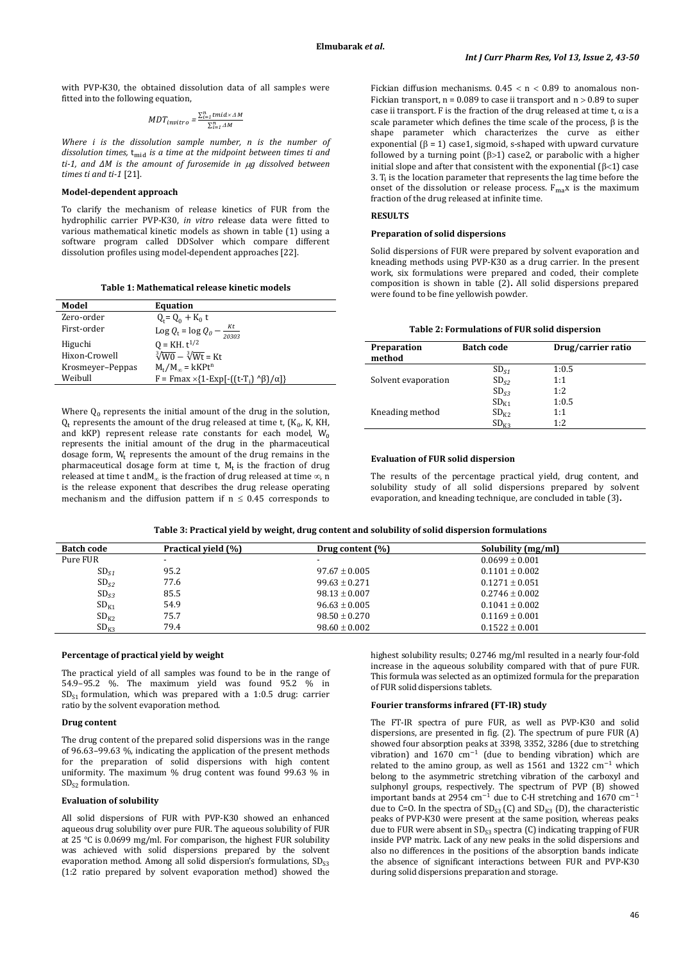with PVP-K30, the obtained dissolution data of all samples were fitted into the following equation,

$$
MDT_{invitro} = \frac{\sum_{i=1}^{n} tmid \times \Delta M}{\sum_{i=1}^{n} \Delta M}
$$

*Where i is the dissolution sample number, n is the number of dissolution times,*  $t_{mid}$  *is a time at the midpoint between times ti and ti-1, and ΔM is the amount of furosemide in* µ*g dissolved between times ti and ti-1* [21].

# **Model-dependent approach**

To clarify the mechanism of release kinetics of FUR from the hydrophilic carrier PVP-K30, *in vitro* release data were fitted to various mathematical kinetic models as shown in table (1) using a software program called DDSolver which compare different dissolution profiles using model-dependent approaches [22].

**Table 1: Mathematical release kinetic models**

| Model            | <b>Equation</b>                                             |
|------------------|-------------------------------------------------------------|
| Zero-order       | $Q_t = Q_0 + K_0 t$                                         |
| First-order      | Kt<br>Log $Q_t = \log Q_0$ -<br>20303                       |
| Higuchi          | $Q = KH. t^{1/2}$                                           |
| Hixon-Crowell    | $\sqrt[3]{W0} - \sqrt[3]{Wt} = Kt$                          |
| Krosmeyer-Peppas | $M_t/M_\infty = kKPt^n$                                     |
| Weibull          | $F = Fmax \times \{1-Exp[-((t-T_i) \wedge \beta)/\alpha]\}$ |
|                  |                                                             |

Where  $O_0$  represents the initial amount of the drug in the solution,  $Q_t$  represents the amount of the drug released at time t,  $(K_0, K, KH,$ and  $kKP$ ) represent release rate constants for each model,  $W_0$ represents the initial amount of the drug in the pharmaceutical dosage form,  $W_t$  represents the amount of the drug remains in the pharmaceutical dosage form at time t,  $M_t$  is the fraction of drug released at time t and  $M_{\infty}$  is the fraction of drug released at time  $\infty$ , n is the release exponent that describes the drug release operating mechanism and the diffusion pattern if  $n \leq 0.45$  corresponds to

Fickian diffusion mechanisms.  $0.45 < n < 0.89$  to anomalous non-Fickian transport,  $n = 0.089$  to case ii transport and  $n > 0.89$  to super case ii transport. F is the fraction of the drug released at time t,  $\alpha$  is a scale parameter which defines the time scale of the process, β is the shape parameter which characterizes the curve as either exponential ( $\beta$  = 1) case1, sigmoid, s-shaped with upward curvature followed by a turning point  $(\beta > 1)$  case2, or parabolic with a higher initial slope and after that consistent with the exponential  $(β < 1)$  case 3. T<sup>i</sup> is the location parameter that represents the lag time before the onset of the dissolution or release process.  $F_{\text{max}}$  is the maximum fraction of the drug released at infinite time.

#### **RESULTS**

### **Preparation of solid dispersions**

Solid dispersions of FUR were prepared by solvent evaporation and kneading methods using PVP-K30 as a drug carrier. In the present work, six formulations were prepared and coded, their complete composition is shown in table (2)**.** All solid dispersions prepared were found to be fine yellowish powder.

| Table 2: Formulations of FUR solid dispersion |  |  |
|-----------------------------------------------|--|--|
|-----------------------------------------------|--|--|

| Preparation<br>method | <b>Batch code</b> | Drug/carrier ratio |  |
|-----------------------|-------------------|--------------------|--|
|                       | SD <sub>51</sub>  | 1:0.5              |  |
| Solvent evaporation   | $SD_{52}$         | 1:1                |  |
|                       | SD <sub>s3</sub>  | 1:2                |  |
|                       | $SD_{K1}$         | 1:0.5              |  |
| Kneading method       | $SD_{K2}$         | 1:1                |  |
|                       | SD <sub>K2</sub>  | 1:2                |  |

# **Evaluation of FUR solid dispersion**

The results of the percentage practical yield, drug content, and solubility study of all solid dispersions prepared by solvent evaporation, and kneading technique, are concluded in table (3)**.**

**Table 3: Practical yield by weight, drug content and solubility of solid dispersion formulations**

| <b>Batch code</b> | Practical yield (%) | Drug content $(\%)$ | Solubility (mg/ml) |  |
|-------------------|---------------------|---------------------|--------------------|--|
| Pure FUR          |                     |                     | $0.0699 \pm 0.001$ |  |
| $SD_{S1}$         | 95.2                | $97.67 + 0.005$     | $0.1101 + 0.002$   |  |
| $SD_{S2}$         | 77.6                | $99.63 + 0.271$     | $0.1271 + 0.051$   |  |
| $SD_{S3}$         | 85.5                | $98.13 \pm 0.007$   | $0.2746 \pm 0.002$ |  |
| $SD_{K1}$         | 54.9                | $96.63 \pm 0.005$   | $0.1041 \pm 0.002$ |  |
| $SD_{K2}$         | 75.7                | $98.50 \pm 0.270$   | $0.1169 + 0.001$   |  |
| $SD_{K3}$         | 79.4                | $98.60 + 0.002$     | $0.1522 + 0.001$   |  |

### **Percentage of practical yield by weight**

The practical yield of all samples was found to be in the range of 54.9–95.2 %. The maximum yield was found 95.2 % in  $SD_{S1}$  formulation, which was prepared with a 1:0.5 drug: carrier ratio by the solvent evaporation method.

# **Drug content**

The drug content of the prepared solid dispersions was in the range of 96.63–99.63 %, indicating the application of the present methods for the preparation of solid dispersions with high content uniformity. The maximum % drug content was found 99.63 % in  $SD<sub>S2</sub>$  formulation.

### **Evaluation of solubility**

All solid dispersions of FUR with PVP-K30 showed an enhanced aqueous drug solubility over pure FUR. The aqueous solubility of FUR at 25 °C is 0.0699 mg/ml. For comparison, the highest FUR solubility was achieved with solid dispersions prepared by the solvent evaporation method. Among all solid dispersion's formulations,  $SD_{S3}$ (1:2 ratio prepared by solvent evaporation method) showed the

highest solubility results; 0.2746 mg/ml resulted in a nearly four-fold increase in the aqueous solubility compared with that of pure FUR. This formula was selected as an optimized formula for the preparation of FUR solid dispersions tablets.

# **Fourier transforms infrared (FT-IR) study**

The FT-IR spectra of pure FUR, as well as PVP-K30 and solid dispersions, are presented in fig. (2). The spectrum of pure FUR (A) showed four absorption peaks at 3398, 3352, 3286 (due to stretching vibration) and  $1670 \text{ cm}^{-1}$  (due to bending vibration) which are related to the amino group, as well as 1561 and 1322  $cm^{-1}$  which belong to the asymmetric stretching vibration of the carboxyl and sulphonyl groups, respectively. The spectrum of PVP (B) showed important bands at 2954 cm<sup>−</sup><sup>1</sup> due to C-H stretching and 1670 cm<sup>−</sup><sup>1</sup> due to C=0. In the spectra of  $SD_{53}$  (C) and  $SD_{K3}$  (D), the characteristic peaks of PVP-K30 were present at the same position, whereas peaks due to FUR were absent in SD<sub>S3</sub> spectra (C) indicating trapping of FUR inside PVP matrix. Lack of any new peaks in the solid dispersions and also no differences in the positions of the absorption bands indicate the absence of significant interactions between FUR and PVP-K30 during solid dispersions preparation and storage.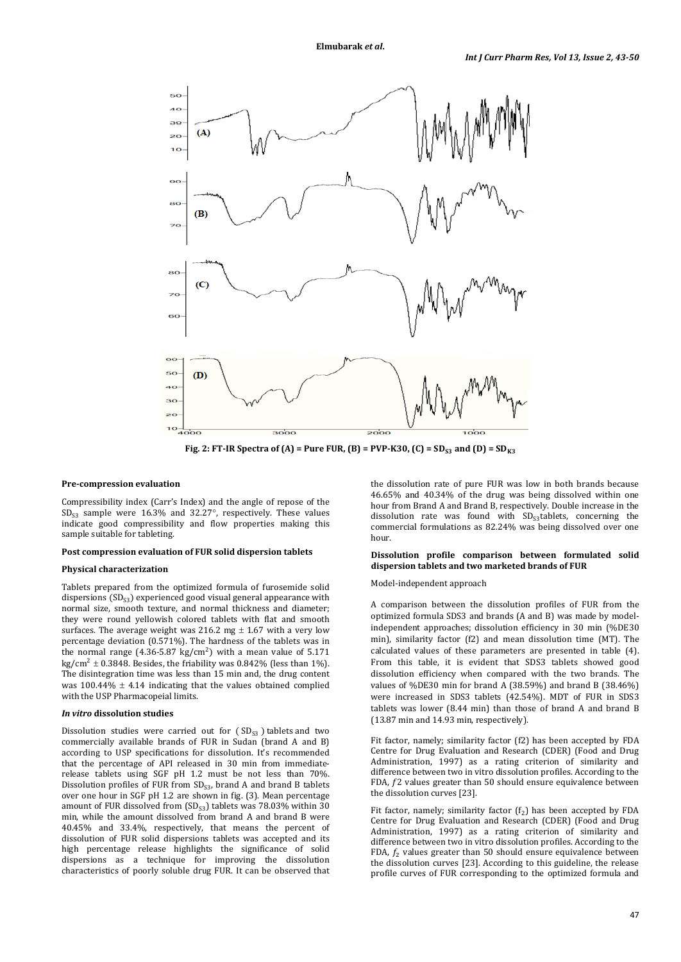

**Fig. 2: FT-IR Spectra of (A) = Pure FUR, (B) = PVP-K30, (C) =**  $SD_{S3}$  **and (D) =**  $SD_{K3}$ 

### **Pre-compression evaluation**

Compressibility index (Carr's Index) and the angle of repose of the  $SD_{S3}$  sample were 16.3% and 32.27°, respectively. These values indicate good compressibility and flow properties making this sample suitable for tableting.

### **Post compression evaluation of FUR solid dispersion tablets**

## **Physical characterization**

Tablets prepared from the optimized formula of furosemide solid dispersions  $(SD_{S3})$  experienced good visual general appearance with normal size, smooth texture, and normal thickness and diameter; they were round yellowish colored tablets with flat and smooth surfaces. The average weight was 216.2 mg  $\pm$  1.67 with a very low percentage deviation (0.571%). The hardness of the tablets was in the normal range (4.36-5.87 kg/cm<sup>2</sup>) with a mean value of  $5.171$ kg/cm<sup>2</sup>  $\pm$  0.3848. Besides, the friability was 0.842% (less than 1%). The disintegration time was less than 15 min and, the drug content was  $100.44\% \pm 4.14$  indicating that the values obtained complied with the USP Pharmacopeial limits.

#### *In vitro* **dissolution studies**

Dissolution studies were carried out for  $(SD_{S3})$  tablets and two commercially available brands of FUR in Sudan (brand A and B) according to USP specifications for dissolution. It's recommended that the percentage of API released in 30 min from immediaterelease tablets using SGF pH 1.2 must be not less than 70%. Dissolution profiles of FUR from  $SD_{S3}$ , brand A and brand B tablets over one hour in SGF pH 1.2 are shown in fig. (3). Mean percentage amount of FUR dissolved from  $(SD_{S3})$  tablets was 78.03% within 30 min, while the amount dissolved from brand A and brand B were 40.45% and 33.4%, respectively, that means the percent of dissolution of FUR solid dispersions tablets was accepted and its high percentage release highlights the significance of solid dispersions as a technique for improving the dissolution characteristics of poorly soluble drug FUR. It can be observed that

the dissolution rate of pure FUR was low in both brands because 46.65% and 40.34% of the drug was being dissolved within one hour from Brand A and Brand B, respectively. Double increase in the dissolution rate was found with  $SD<sub>S3</sub>$ tablets, concerning the commercial formulations as 82.24% was being dissolved over one hour.

# **Dissolution profile comparison between formulated solid dispersion tablets and two marketed brands of FUR**

### Model-independent approach

A comparison between the dissolution profiles of FUR from the optimized formula SDS3 and brands (A and B) was made by modelindependent approaches; dissolution efficiency in 30 min (%DE30 min), similarity factor (f2) and mean dissolution time (MT). The calculated values of these parameters are presented in table (4). From this table, it is evident that SDS3 tablets showed good dissolution efficiency when compared with the two brands. The values of %DE30 min for brand A (38.59%) and brand B (38.46%) were increased in SDS3 tablets (42.54%). MDT of FUR in SDS3 tablets was lower (8.44 min) than those of brand A and brand B (13.87 min and 14.93 min, respectively).

Fit factor, namely; similarity factor (f2) has been accepted by FDA Centre for Drug Evaluation and Research (CDER) (Food and Drug Administration, 1997) as a rating criterion of similarity and difference between two in vitro dissolution profiles. According to the FDA,  $f2$  values greater than 50 should ensure equivalence between the dissolution curves [23].

Fit factor, namely; similarity factor  $(f_2)$  has been accepted by FDA Centre for Drug Evaluation and Research (CDER) (Food and Drug Administration, 1997) as a rating criterion of similarity and difference between two in vitro dissolution profiles. According to the FDA,  $f_2$  values greater than 50 should ensure equivalence between the dissolution curves [23]. According to this guideline, the release profile curves of FUR corresponding to the optimized formula and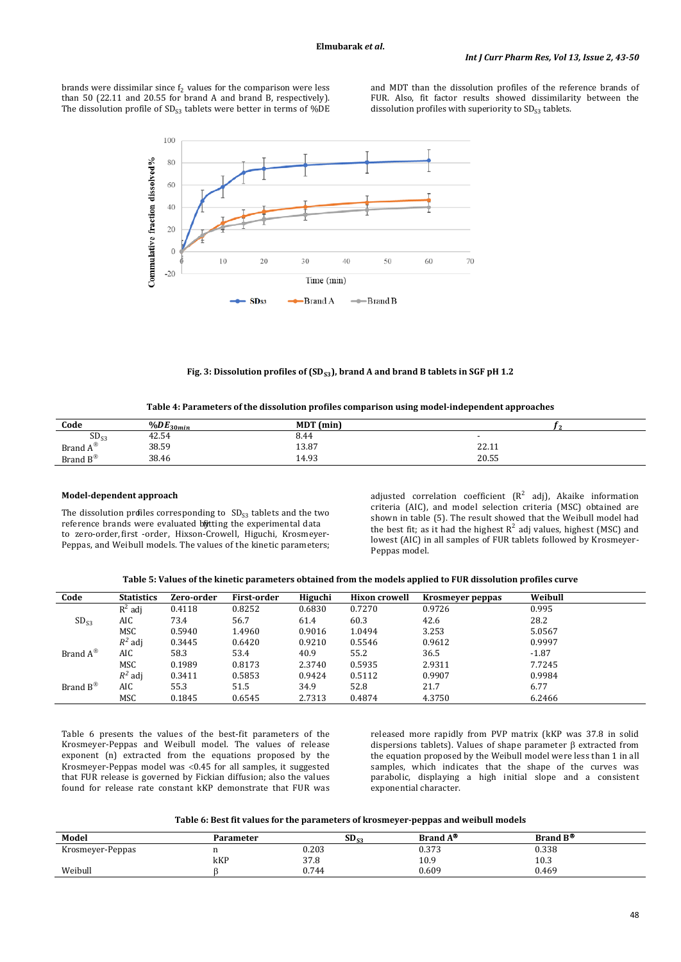brands were dissimilar since  $f_2$  values for the comparison were less than 50 (22.11 and 20.55 for brand A and brand B, respectively). The dissolution profile of  $SD_{53}$  tablets were better in terms of %DE

and MDT than the dissolution profiles of the reference brands of FUR. Also, fit factor results showed dissimilarity between the dissolution profiles with superiority to  $SD_{53}$  tablets.



Fig. 3: Dissolution profiles of (SD<sub>S3</sub>), brand A and brand B tablets in SGF pH 1.2

| Table 4: Parameters of the dissolution profiles comparison using model-independent approaches |  |  |  |
|-----------------------------------------------------------------------------------------------|--|--|--|
|-----------------------------------------------------------------------------------------------|--|--|--|

| Code               | $\frac{9}{0}$ DE <sub>30min</sub> | MDT (min) |               |
|--------------------|-----------------------------------|-----------|---------------|
| SD <sub>S3</sub>   | 42.54                             | 8.44      |               |
| Brand $A^{\circ}$  | 38.59                             | 13.87     | 2211<br>44.11 |
| Brand $B^{\infty}$ | 38.46                             | 14.93     | 20.55         |

### **Model-dependent approach**

The dissolution profiles corresponding to  $SD_{S3}$  tablets and the two reference brands were evaluated bijtting the experimental data to zero-order, first -order, Hixson-Crowell, Higuchi, Krosmeyer-Peppas, and Weibull models. The values of the kinetic parameters; adjusted correlation coefficient  $(R^2 \text{ adj})$ , Akaike information criteria (AIC), and model selection criteria (MSC) obtained are shown in table (5). The result showed that the Weibull model had the best fit; as it had the highest  $R^2$  adj values, highest (MSC) and lowest (AIC) in all samples of FUR tablets followed by Krosmeyer-Peppas model.

**Table 5: Values of the kinetic parameters obtained from the models applied to FUR dissolution profiles curve**

| Code                  | <b>Statistics</b> | Zero-order | First-order | Higuchi | <b>Hixon crowell</b> | Krosmeyer peppas | Weibull |
|-----------------------|-------------------|------------|-------------|---------|----------------------|------------------|---------|
|                       | $R^2$ adj         | 0.4118     | 0.8252      | 0.6830  | 0.7270               | 0.9726           | 0.995   |
| $SD_{S3}$             | AIC               | 73.4       | 56.7        | 61.4    | 60.3                 | 42.6             | 28.2    |
|                       | MSC               | 0.5940     | 1.4960      | 0.9016  | 1.0494               | 3.253            | 5.0567  |
|                       | $R^2$ adj         | 0.3445     | 0.6420      | 0.9210  | 0.5546               | 0.9612           | 0.9997  |
| Brand $A^{\circledR}$ | AIC               | 58.3       | 53.4        | 40.9    | 55.2                 | 36.5             | $-1.87$ |
|                       | MSC               | 0.1989     | 0.8173      | 2.3740  | 0.5935               | 2.9311           | 7.7245  |
|                       | $R^2$ adj         | 0.3411     | 0.5853      | 0.9424  | 0.5112               | 0.9907           | 0.9984  |
| Brand $B^{\otimes}$   | AIC               | 55.3       | 51.5        | 34.9    | 52.8                 | 21.7             | 6.77    |
|                       | MSC               | 0.1845     | 0.6545      | 2.7313  | 0.4874               | 4.3750           | 6.2466  |

Table 6 presents the values of the best-fit parameters of the Krosmeyer-Peppas and Weibull model. The values of release exponent (n) extracted from the equations proposed by the Krosmeyer-Peppas model was <0.45 for all samples, it suggested that FUR release is governed by Fickian diffusion; also the values found for release rate constant kKP demonstrate that FUR was

released more rapidly from PVP matrix (kKP was 37.8 in solid dispersions tablets). Values of shape parameter β extracted from the equation proposed by the Weibull model were less than 1 in all samples, which indicates that the shape of the curves was parabolic, displaying a high initial slope and a consistent exponential character.

**Table 6: Best fit values for the parameters of krosmeyer-peppas and weibull models**

| Model            | Parameter | SD <sub>s</sub><br>$\sim$ $\sim$ $\sim$ $\sim$ | Brand A <sup>®</sup> | Brand B <sup>®</sup> |
|------------------|-----------|------------------------------------------------|----------------------|----------------------|
| Krosmeyer-Peppas |           | 0.203                                          | 0.050<br>U.373       | 0.338                |
|                  | kKP       | 27C<br><b>J</b> / .0                           | 10.9                 | 10.3                 |
| Weibull          |           | 0.744                                          | 0.609                | 0.469                |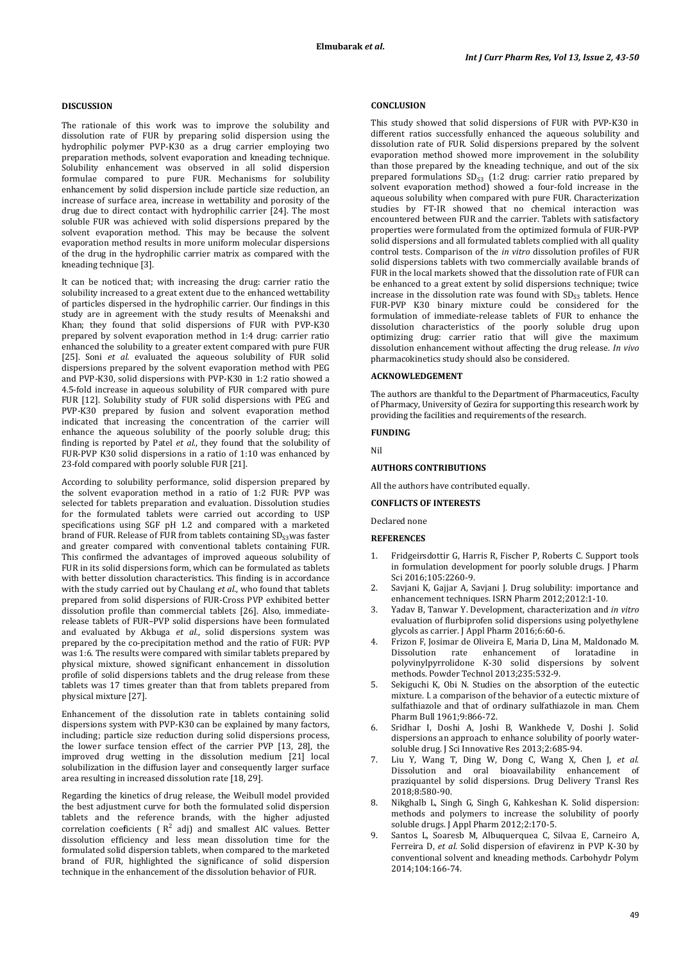## **DISCUSSION**

The rationale of this work was to improve the solubility and dissolution rate of FUR by preparing solid dispersion using the hydrophilic polymer PVP-K30 as a drug carrier employing two preparation methods, solvent evaporation and kneading technique. Solubility enhancement was observed in all solid dispersion formulae compared to pure FUR. Mechanisms for solubility enhancement by solid dispersion include particle size reduction, an increase of surface area, increase in wettability and porosity of the drug due to direct contact with hydrophilic carrier [24]. The most soluble FUR was achieved with solid dispersions prepared by the solvent evaporation method. This may be because the solvent evaporation method results in more uniform molecular dispersions of the drug in the hydrophilic carrier matrix as compared with the kneading technique [3].

It can be noticed that; with increasing the drug: carrier ratio the solubility increased to a great extent due to the enhanced wettability of particles dispersed in the hydrophilic carrier. Our findings in this study are in agreement with the study results of Meenakshi and Khan; they found that solid dispersions of FUR with PVP-K30 prepared by solvent evaporation method in 1:4 drug: carrier ratio enhanced the solubility to a greater extent compared with pure FUR [25]. Soni *et al.* evaluated the aqueous solubility of FUR solid dispersions prepared by the solvent evaporation method with PEG and PVP-K30, solid dispersions with PVP-K30 in 1:2 ratio showed a 4.5-fold increase in aqueous solubility of FUR compared with pure FUR [12]. Solubility study of FUR solid dispersions with PEG and PVP-K30 prepared by fusion and solvent evaporation method indicated that increasing the concentration of the carrier will enhance the aqueous solubility of the poorly soluble drug; this finding is reported by Patel *et al.*, they found that the solubility of FUR-PVP K30 solid dispersions in a ratio of 1:10 was enhanced by 23-fold compared with poorly soluble FUR [21].

According to solubility performance, solid dispersion prepared by the solvent evaporation method in a ratio of 1:2 FUR: PVP was selected for tablets preparation and evaluation. Dissolution studies for the formulated tablets were carried out according to USP specifications using SGF pH 1.2 and compared with a marketed brand of FUR. Release of FUR from tablets containing  $SD_{53}$  was faster and greater compared with conventional tablets containing FUR. This confirmed the advantages of improved aqueous solubility of FUR in its solid dispersions form, which can be formulated as tablets with better dissolution characteristics. This finding is in accordance with the study carried out by Chaulang *et al.*, who found that tablets prepared from solid dispersions of FUR-Cross PVP exhibited better dissolution profile than commercial tablets [26]. Also, immediaterelease tablets of FUR–PVP solid dispersions have been formulated and evaluated by Akbuga *et al.*, solid dispersions system was prepared by the co-precipitation method and the ratio of FUR: PVP was 1:6. The results were compared with similar tablets prepared by physical mixture, showed significant enhancement in dissolution profile of solid dispersions tablets and the drug release from these tablets was 17 times greater than that from tablets prepared from physical mixture [27].

Enhancement of the dissolution rate in tablets containing solid dispersions system with PVP-K30 can be explained by many factors, including; particle size reduction during solid dispersions process, the lower surface tension effect of the carrier PVP [13, 28], the improved drug wetting in the dissolution medium [21] local solubilization in the diffusion layer and consequently larger surface area resulting in increased dissolution rate [18, 29].

Regarding the kinetics of drug release, the Weibull model provided the best adjustment curve for both the formulated solid dispersion tablets and the reference brands, with the higher adjusted correlation coeficients ( $R^2$  adj) and smallest AIC values. Better dissolution efficiency and less mean dissolution time for the formulated solid dispersion tablets, when compared to the marketed brand of FUR, highlighted the significance of solid dispersion technique in the enhancement of the dissolution behavior of FUR.

# **CONCLUSION**

This study showed that solid dispersions of FUR with PVP-K30 in different ratios successfully enhanced the aqueous solubility and dissolution rate of FUR. Solid dispersions prepared by the solvent evaporation method showed more improvement in the solubility than those prepared by the kneading technique, and out of the six prepared formulations  $SD_{53}$  (1:2 drug: carrier ratio prepared by solvent evaporation method) showed a four-fold increase in the aqueous solubility when compared with pure FUR. Characterization studies by FT-IR showed that no chemical interaction was encountered between FUR and the carrier. Tablets with satisfactory properties were formulated from the optimized formula of FUR-PVP solid dispersions and all formulated tablets complied with all quality control tests. Comparison of the *in vitro* dissolution profiles of FUR solid dispersions tablets with two commercially available brands of FUR in the local markets showed that the dissolution rate of FUR can be enhanced to a great extent by solid dispersions technique; twice increase in the dissolution rate was found with  $SD_{S3}$  tablets. Hence FUR-PVP K30 binary mixture could be considered for the formulation of immediate-release tablets of FUR to enhance the dissolution characteristics of the poorly soluble drug upon optimizing drug: carrier ratio that will give the maximum dissolution enhancement without affecting the drug release. *In vivo* pharmacokinetics study should also be considered.

### **ACKNOWLEDGEMENT**

The authors are thankful to the Department of Pharmaceutics, Faculty of Pharmacy, University of Gezira for supporting this research work by providing the facilities and requirements of the research.

# **FUNDING**

Nil

### **AUTHORS CONTRIBUTIONS**

All the authors have contributed equally.

# **CONFLICTS OF INTERESTS**

Declared none

#### **REFERENCES**

- 1. Fridgeirsdottir G, Harris R, Fischer P, Roberts C. Support tools in formulation development for poorly soluble drugs. J Pharm Sci 2016;105:2260-9.
- 2. Savjani K, Gajjar A, Savjani J. Drug solubility: importance and enhancement techniques. ISRN Pharm 2012;2012:1-10.
- 3. Yadav B, Tanwar Y. Development, characterization and *in vitro* evaluation of flurbiprofen solid dispersions using polyethylene glycols as carrier. J Appl Pharm 2016;6:60-6.
- 4. Frizon F, Josimar de Oliveira E, Maria D, Lina M, Maldonado M. rate enhancement of loratadine polyvinylpyrrolidone K-30 solid dispersions by solvent methods. Powder Technol 2013;235:532-9.
- Sekiguchi K, Obi N. Studies on the absorption of the eutectic mixture. I. a comparison of the behavior of a eutectic mixture of sulfathiazole and that of ordinary sulfathiazole in man. Chem Pharm Bull 1961;9:866-72.
- 6. Sridhar I, Doshi A, Joshi B, Wankhede V, Doshi J. Solid dispersions an approach to enhance solubility of poorly watersoluble drug. J Sci Innovative Res 2013;2:685-94.
- 7. Liu Y, Wang T, Ding W, Dong C, Wang X, Chen J, *et al*. Dissolution and oral bioavailability enhancement of praziquantel by solid dispersions. Drug Delivery Transl Res 2018;8:580-90.
- 8. Nikghalb L, Singh G, Singh G, Kahkeshan K. Solid dispersion: methods and polymers to increase the solubility of poorly soluble drugs. J Appl Pharm 2012;2:170-5.
- 9. Santos L, Soaresb M, Albuquerquea C, Silvaa E, Carneiro A, Ferreira D, *et al*. Solid dispersion of efavirenz in PVP K-30 by conventional solvent and kneading methods. Carbohydr Polym 2014;104:166-74.